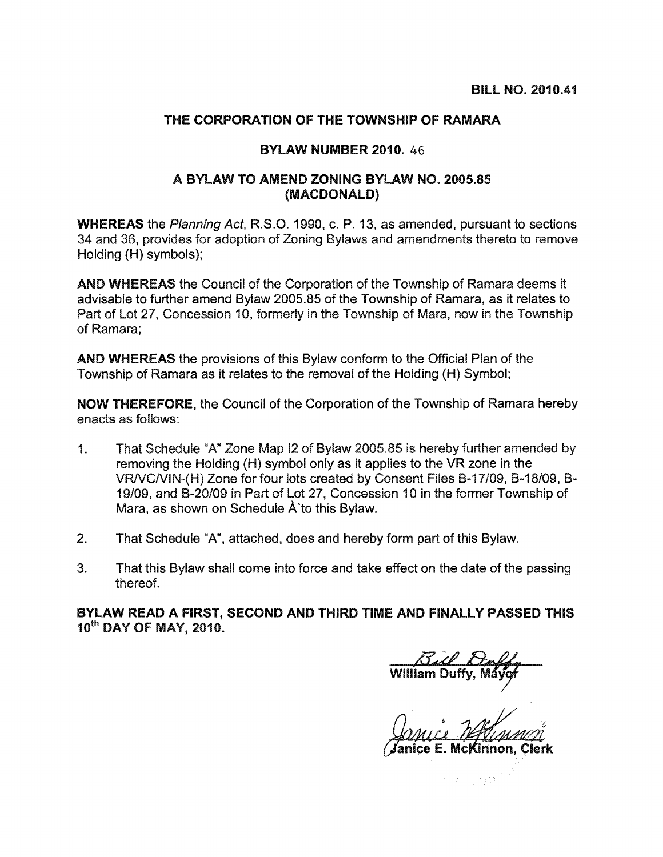## THE CORPORATION OF THE TOWNSHIP OF RAMARA

## **BYLAW NUMBER 2010. 46**

## A BYLAW TO AMEND ZONING BYLAW NO. 2005.85 (MACDONALD)

**WHEREAS** the Planning Act, R.S.O. 1990, c. P. 13, as amended, pursuant to sections 34 and 36, provides for adoption of Zoning Bylaws and amendments thereto to remove Holding (H) symbols);

**AND WHEREAS** the Council of the Corporation of the Township of Ramara deems it advisable to further amend Bylaw 2005.85 of the Township of Ramara, as it relates to Part of Lot 27, Concession 10, formerly in the Township of Mara, now in the Township of Ramara:

AND WHEREAS the provisions of this Bylaw conform to the Official Plan of the Township of Ramara as it relates to the removal of the Holding (H) Symbol;

**NOW THEREFORE, the Council of the Corporation of the Township of Ramara hereby** enacts as follows:

- $\mathbf{1}$ . That Schedule "A" Zone Map I2 of Bylaw 2005.85 is hereby further amended by removing the Holding (H) symbol only as it applies to the VR zone in the VR/VC/VIN-(H) Zone for four lots created by Consent Files B-17/09, B-18/09, B-19/09, and B-20/09 in Part of Lot 27, Concession 10 in the former Township of Mara, as shown on Schedule A to this Bylaw.
- $2.$ That Schedule "A", attached, does and hereby form part of this Bylaw.
- 3. That this Bylaw shall come into force and take effect on the date of the passing thereof.

BYLAW READ A FIRST, SECOND AND THIRD TIME AND FINALLY PASSED THIS 10th DAY OF MAY, 2010.

anice E. McKinnon. Clerk